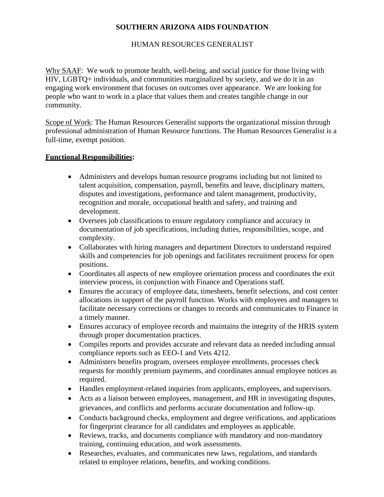## **SOUTHERN ARIZONA AIDS FOUNDATION**

## HUMAN RESOURCES GENERALIST

Why SAAF: We work to promote health, well-being, and social justice for those living with HIV, LGBTQ+ individuals, and communities marginalized by society, and we do it in an engaging work environment that focuses on outcomes over appearance. We are looking for people who want to work in a place that values them and creates tangible change in our community.

Scope of Work: The Human Resources Generalist supports the organizational mission through professional administration of Human Resource functions. The Human Resources Generalist is a full-time, exempt position.

## **Functional Responsibilities:**

- Administers and develops human resource programs including but not limited to talent acquisition, compensation, payroll, benefits and leave, disciplinary matters, disputes and investigations, performance and talent management, productivity, recognition and morale, occupational health and safety, and training and development.
- Oversees job classifications to ensure regulatory compliance and accuracy in documentation of job specifications, including duties, responsibilities, scope, and complexity.
- Collaborates with hiring managers and department Directors to understand required skills and competencies for job openings and facilitates recruitment process for open positions.
- Coordinates all aspects of new employee orientation process and coordinates the exit interview process, in conjunction with Finance and Operations staff.
- Ensures the accuracy of employee data, timesheets, benefit selections, and cost center allocations in support of the payroll function. Works with employees and managers to facilitate necessary corrections or changes to records and communicates to Finance in a timely manner.
- Ensures accuracy of employee records and maintains the integrity of the HRIS system through proper documentation practices.
- Compiles reports and provides accurate and relevant data as needed including annual compliance reports such as EEO-1 and Vets 4212.
- Administers benefits program, oversees employee enrollments, processes check requests for monthly premium payments, and coordinates annual employee notices as required.
- Handles employment-related inquiries from applicants, employees, and supervisors.
- Acts as a liaison between employees, management, and HR in investigating disputes, grievances, and conflicts and performs accurate documentation and follow-up.
- Conducts background checks, employment and degree verifications, and applications for fingerprint clearance for all candidates and employees as applicable.
- Reviews, tracks, and documents compliance with mandatory and non-mandatory training, continuing education, and work assessments.
- Researches, evaluates, and communicates new laws, regulations, and standards related to employee relations, benefits, and working conditions.